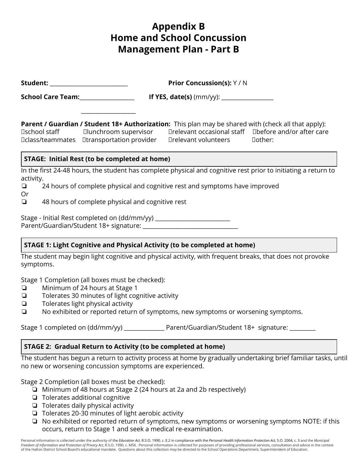# **Appendix B Home and School Concussion Management Plan - Part B**

| Student:                                             | <b>Prior Concussion(s): Y / N</b>                                                                                                                                                                                                                                        |  |  |  |
|------------------------------------------------------|--------------------------------------------------------------------------------------------------------------------------------------------------------------------------------------------------------------------------------------------------------------------------|--|--|--|
| School Care Team:                                    |                                                                                                                                                                                                                                                                          |  |  |  |
|                                                      | <b>Parent / Guardian / Student 18+ Authorization:</b> This plan may be shared with (check all that apply):<br>□relevant occasional staff □before and/or after care<br><b>□class/teammates</b> □transportation provider<br>$\square$ relevant volunteers<br>$\Box$ other: |  |  |  |
| <b>STAGE: Initial Rest (to be completed at home)</b> |                                                                                                                                                                                                                                                                          |  |  |  |
| activity.                                            | In the first 24-48 hours, the student has complete physical and cognitive rest prior to initiating a return to                                                                                                                                                           |  |  |  |
| $\Box$<br>Or                                         | 24 hours of complete physical and cognitive rest and symptoms have improved                                                                                                                                                                                              |  |  |  |
| $\Box$                                               | 48 hours of complete physical and cognitive rest                                                                                                                                                                                                                         |  |  |  |
|                                                      | Stage - Initial Rest completed on (dd/mm/yy)                                                                                                                                                                                                                             |  |  |  |

## **STAGE 1: Light Cognitive and Physical Activity (to be completed at home)**

The student may begin light cognitive and physical activity, with frequent breaks, that does not provoke symptoms.

Stage 1 Completion (all boxes must be checked):

❏ Minimum of 24 hours at Stage 1

Parent/Guardian/Student 18+ signature: \_\_\_\_\_\_\_\_\_\_\_\_\_\_\_\_\_\_\_\_\_\_\_\_\_\_\_\_\_\_\_\_\_

- ❏ Tolerates 30 minutes of light cognitive activity
- ❏ Tolerates light physical activity
- ❏ No exhibited or reported return of symptoms, new symptoms or worsening symptoms.

Stage 1 completed on (dd/mm/yy) \_\_\_\_\_\_\_\_\_\_\_\_\_\_\_ Parent/Guardian/Student 18+ signature:

### **STAGE 2: Gradual Return to Activity (to be completed at home)**

The student has begun a return to activity process at home by gradually undertaking brief familiar tasks, until no new or worsening concussion symptoms are experienced.

Stage 2 Completion (all boxes must be checked):

- ❏ Minimum of 48 hours at Stage 2 (24 hours at 2a and 2b respectively)
- ❏ Tolerates additional cognitive
- ❏ Tolerates daily physical activity
- ❏ Tolerates 20-30 minutes of light aerobic activity
- ❏ No exhibited or reported return of symptoms, new symptoms or worsening symptoms NOTE: if this occurs, return to Stage 1 and seek a medical re-examination.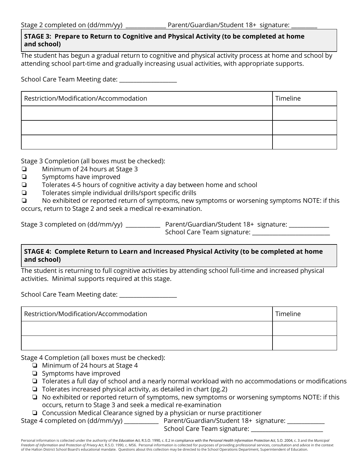## **STAGE 3: Prepare to Return to Cognitive and Physical Activity (to be completed at home and school)**

The student has begun a gradual return to cognitive and physical activity process at home and school by attending school part-time and gradually increasing usual activities, with appropriate supports.

School Care Team Meeting date: \_\_\_\_\_\_\_\_\_\_\_\_\_\_\_\_\_\_\_\_

| Restriction/Modification/Accommodation | Timeline |
|----------------------------------------|----------|
|                                        |          |
|                                        |          |
|                                        |          |

Stage 3 Completion (all boxes must be checked):

- ❏ Minimum of 24 hours at Stage 3
- ❏ Symptoms have improved
- ❏ Tolerates 4-5 hours of cognitive activity a day between home and school
- ❏ Tolerates simple individual drills/sport specific drills

❏ No exhibited or reported return of symptoms, new symptoms or worsening symptoms NOTE: if this occurs, return to Stage 2 and seek a medical re-examination.

Stage 3 completed on (dd/mm/yy) \_\_\_\_\_\_\_\_\_\_\_\_\_\_ Parent/Guardian/Student 18+ signature: \_\_\_\_\_\_\_\_\_\_\_\_\_ School Care Team signature: \_\_\_\_\_\_\_\_\_\_\_\_\_

## **STAGE 4: Complete Return to Learn and Increased Physical Activity (to be completed at home and school)**

The student is returning to full cognitive activities by attending school full-time and increased physical activities. Minimal supports required at this stage.

School Care Team Meeting date: \_\_\_\_\_\_\_\_\_\_\_\_\_\_\_\_\_\_\_\_

| Restriction/Modification/Accommodation | Timeline |
|----------------------------------------|----------|
|                                        |          |
|                                        |          |

Stage 4 Completion (all boxes must be checked):

- ❏ Minimum of 24 hours at Stage 4
- ❏ Symptoms have improved
- ❏ Tolerates a full day of school and a nearly normal workload with no accommodations or modifications
- ❏ Tolerates increased physical activity, as detailed in chart (pg.2)
- ❏ No exhibited or reported return of symptoms, new symptoms or worsening symptoms NOTE: if this occurs, return to Stage 3 and seek a medical re-examination

❏ Concussion Medical Clearance signed by a physician or nurse practitioner

Stage 4 completed on (dd/mm/yy) \_\_\_\_\_\_\_\_\_\_\_\_\_\_\_ Parent/Guardian/Student 18+ signature: \_\_\_\_\_\_\_

School Care Team signature: